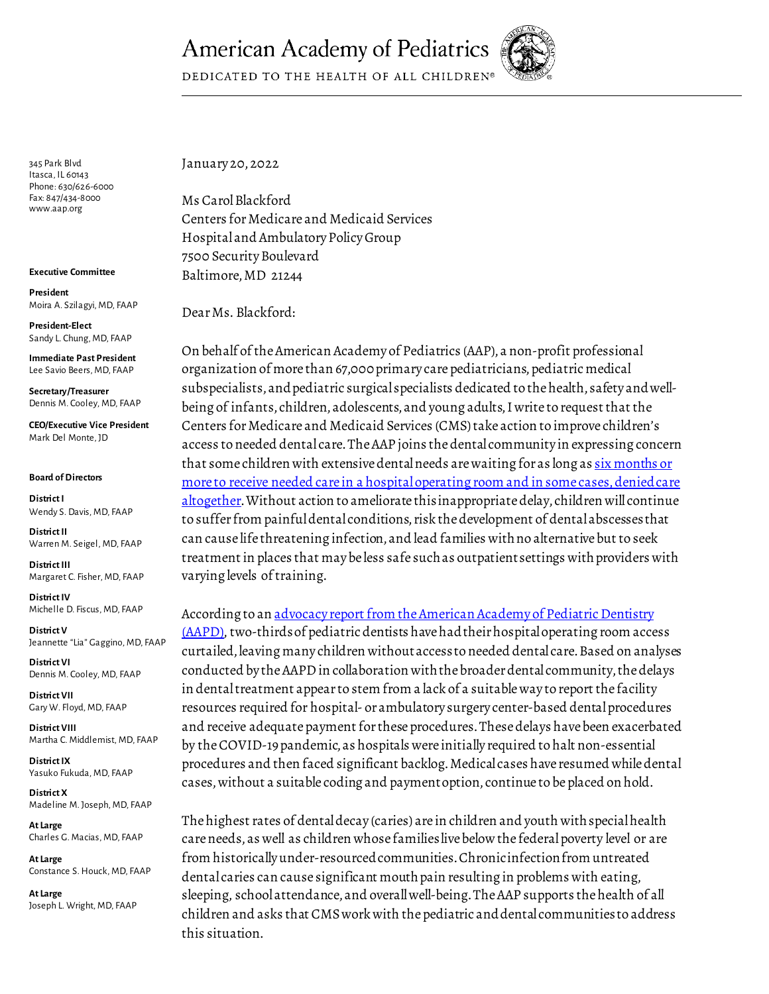## **American Academy of Pediatrics**



DEDICATED TO THE HEALTH OF ALL CHILDREN®

345 Park Blvd Itasca, IL 60143 Phone: 630/626-6000 Fax: 847/434-8000 www.aap.org

**Executive Committee**

**President**  Moira A. Szilagyi, MD, FAAP

**President-Elect** Sandy L. Chung, MD, FAAP

**Immediate Past President** Lee Savio Beers, MD, FAAP

**Secretary/Treasurer** Dennis M. Cooley, MD, FAAP

**CEO/Executive Vice President** Mark Del Monte, JD

## **Board of Directors**

**District I** Wendy S. Davis, MD, FAAP

**District II** Warren M. Seigel, MD, FAAP

**District III** Margaret C. Fisher, MD, FAAP

**District IV**  Michelle D. Fiscus, MD, FAAP

**District V** Jeannette "Lia" Gaggino, MD, FAAP

**District VI** Dennis M. Cooley, MD, FAAP

**District VII** Gary W. Floyd, MD, FAAP

**District VIII** Martha C. Middlemist, MD, FAAP

**District IX** Yasuko Fukuda, MD, FAAP

**District X** Madeline M. Joseph, MD, FAAP

**At Large** Charles G. Macias, MD, FAAP

**At Large** Constance S. Houck, MD, FAAP

**At Large**  Joseph L. Wright, MD, FAAP January 20, 2022

Ms Carol Blackford Centers for Medicare and Medicaid Services Hospital and Ambulatory Policy Group 7500 Security Boulevard Baltimore, MD 21244

Dear Ms. Blackford:

On behalf of the American Academy of Pediatrics (AAP), a non-profit professional organization of more than 67,000 primary care pediatricians, pediatric medical subspecialists, and pediatric surgical specialists dedicated to the health, safety and wellbeing of infants, children, adolescents, and young adults, I write to request that the Centers for Medicare and Medicaid Services (CMS)take action to improve children's access to needed dental care. The AAP joins the dental community in expressing concern that some children with extensive dental needs are waiting for as long as six [months or](https://pubmed.ncbi.nlm.nih.gov/33662248/)  more to receive needed care in a hospital operating room and in some cases, denied care [altogether.](https://pubmed.ncbi.nlm.nih.gov/33662248/) Without action to ameliorate this inappropriate delay, children will continue to suffer from painful dental conditions, risk the development of dental abscesses that can cause life threatening infection, and lead families with no alternative but to seek treatment in places that may be less safe such as outpatient settings with providers with varying levels of training.

According to an advocacy report from the American Academy of Pediatric Dentistry [\(AAPD\)](https://www.aapd.org/globalassets/media/advocacy/ord.pdf), two-thirdsof pediatric dentists have had their hospital operating room access curtailed, leaving many children without access to needed dental care. Based on analyses conducted by the AAPD in collaboration with the broader dental community, the delays in dental treatment appear to stem from a lack of a suitable way to report the facility resources required for hospital- or ambulatory surgery center-based dental procedures and receive adequate payment for these procedures. These delays have been exacerbated by the COVID-19 pandemic, as hospitals were initially required to halt non-essential procedures and then faced significant backlog. Medical cases have resumed while dental cases, without a suitable coding and payment option, continue to be placed on hold.

The highest rates of dental decay (caries) are in children and youth with special health care needs, as well as children whose families live below the federal poverty level or are from historically under-resourced communities. Chronic infection from untreated dental caries can cause significant mouth pain resulting in problems with eating, sleeping, school attendance, and overall well-being. The AAP supports the health of all children and asks that CMS work with the pediatric and dental communities to address this situation.